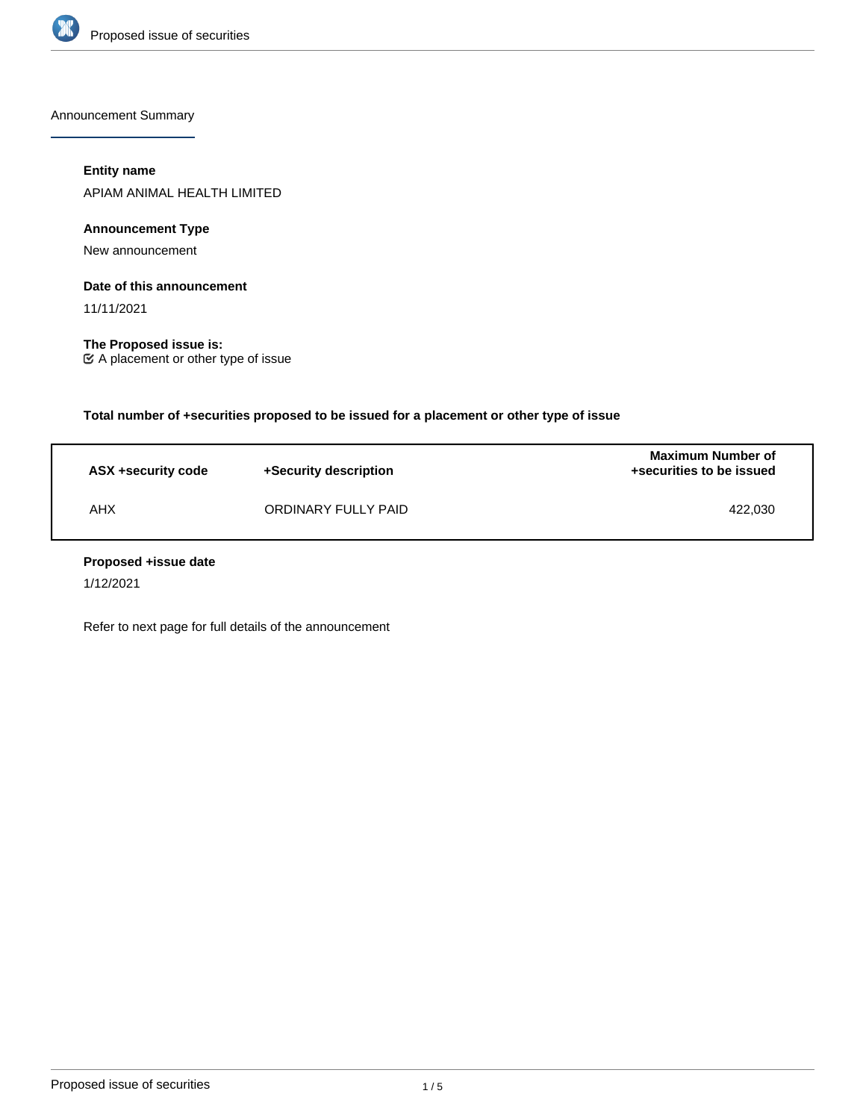

Announcement Summary

## **Entity name**

APIAM ANIMAL HEALTH LIMITED

## **Announcement Type**

New announcement

#### **Date of this announcement**

11/11/2021

**The Proposed issue is:** A placement or other type of issue

**Total number of +securities proposed to be issued for a placement or other type of issue**

| ASX +security code | +Security description | <b>Maximum Number of</b><br>+securities to be issued |
|--------------------|-----------------------|------------------------------------------------------|
| AHX                | ORDINARY FULLY PAID   | 422.030                                              |

#### **Proposed +issue date**

1/12/2021

Refer to next page for full details of the announcement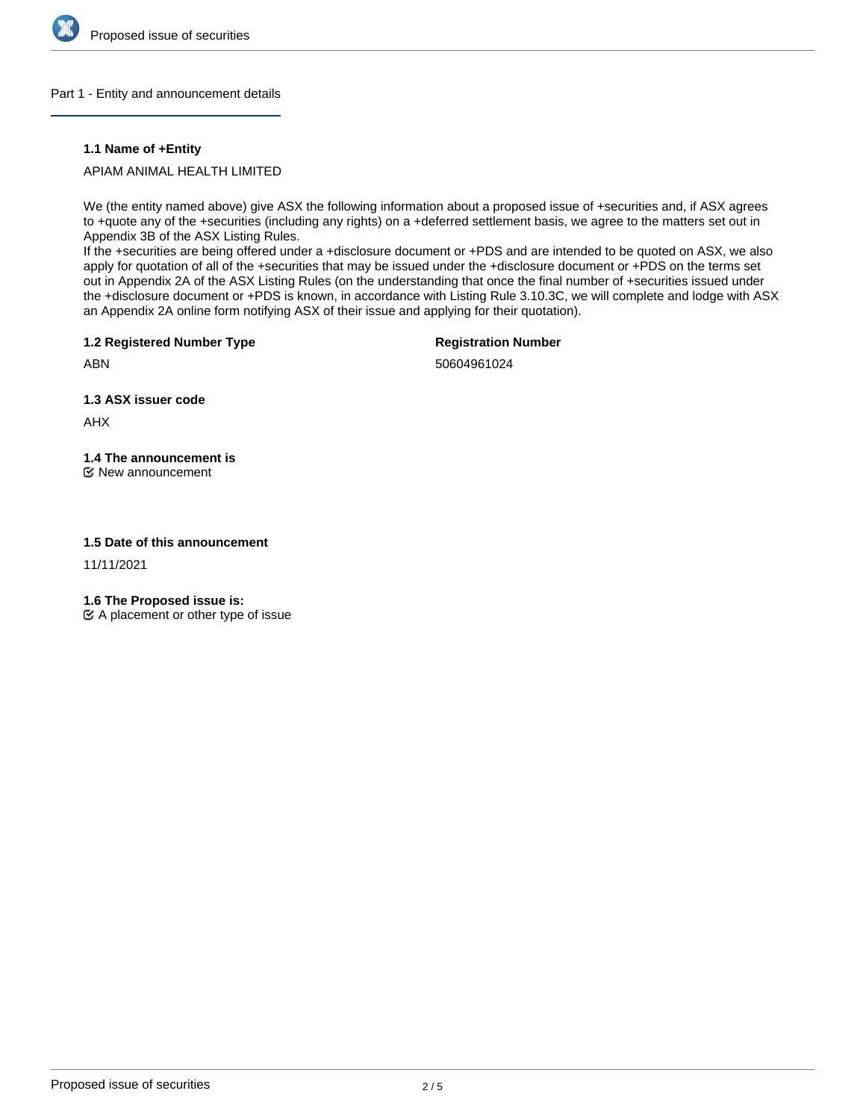

#### Part 1 - Entity and announcement details

#### **1.1 Name of +Entity**

APIAM ANIMAL HEALTH LIMITED

We (the entity named above) give ASX the following information about a proposed issue of +securities and, if ASX agrees to +quote any of the +securities (including any rights) on a +deferred settlement basis, we agree to the matters set out in Appendix 3B of the ASX Listing Rules.

If the +securities are being offered under a +disclosure document or +PDS and are intended to be quoted on ASX, we also apply for quotation of all of the +securities that may be issued under the +disclosure document or +PDS on the terms set out in Appendix 2A of the ASX Listing Rules (on the understanding that once the final number of +securities issued under the +disclosure document or +PDS is known, in accordance with Listing Rule 3.10.3C, we will complete and lodge with ASX an Appendix 2A online form notifying ASX of their issue and applying for their quotation).

**1.2 Registered Number Type**

**Registration Number**

50604961024

**1.3 ASX issuer code**

AHX

ABN

# **1.4 The announcement is**

New announcement

#### **1.5 Date of this announcement**

11/11/2021

**1.6 The Proposed issue is:**

 $\mathfrak{C}$  A placement or other type of issue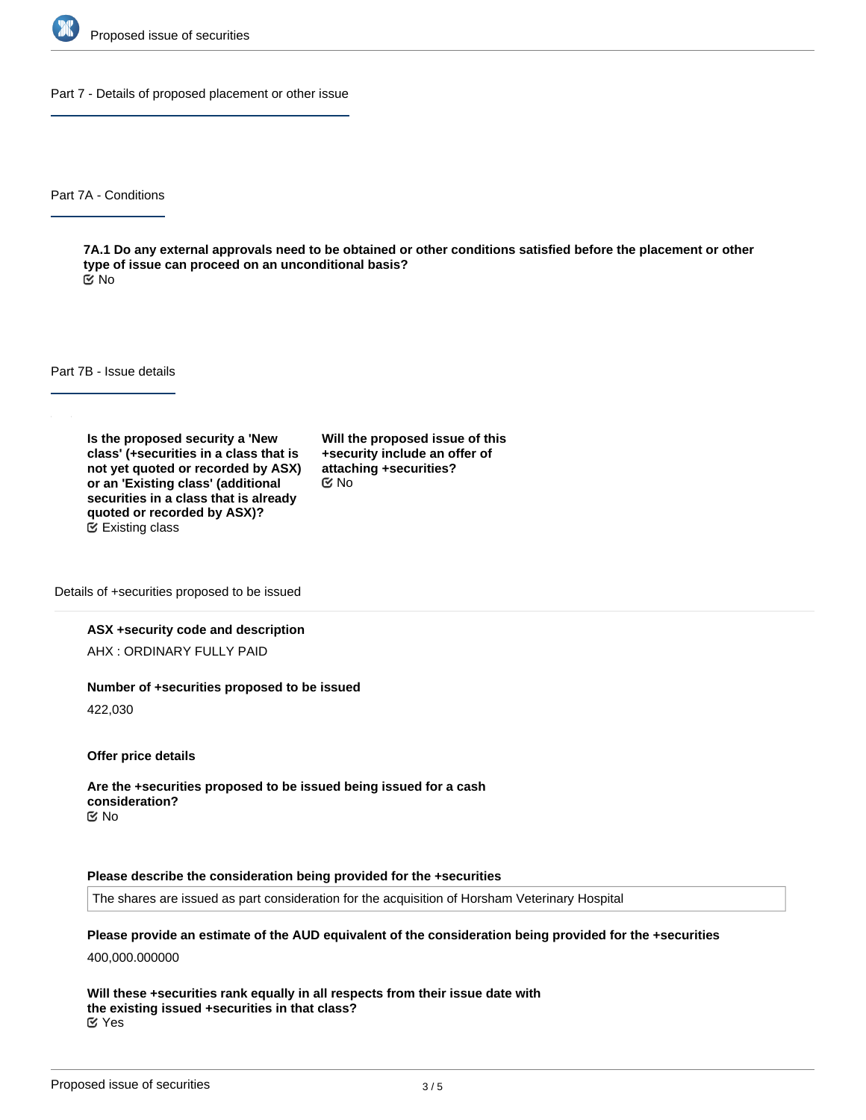

Part 7 - Details of proposed placement or other issue

Part 7A - Conditions

**7A.1 Do any external approvals need to be obtained or other conditions satisfied before the placement or other type of issue can proceed on an unconditional basis?** No

Part 7B - Issue details

**Is the proposed security a 'New class' (+securities in a class that is not yet quoted or recorded by ASX) or an 'Existing class' (additional securities in a class that is already quoted or recorded by ASX)?** Existing class

**Will the proposed issue of this +security include an offer of attaching +securities?** No

Details of +securities proposed to be issued

#### **ASX +security code and description**

AHX : ORDINARY FULLY PAID

#### **Number of +securities proposed to be issued**

422,030

**Offer price details**

**Are the +securities proposed to be issued being issued for a cash consideration?** No

#### **Please describe the consideration being provided for the +securities**

The shares are issued as part consideration for the acquisition of Horsham Veterinary Hospital

**Please provide an estimate of the AUD equivalent of the consideration being provided for the +securities**

400,000.000000

**Will these +securities rank equally in all respects from their issue date with the existing issued +securities in that class?** Yes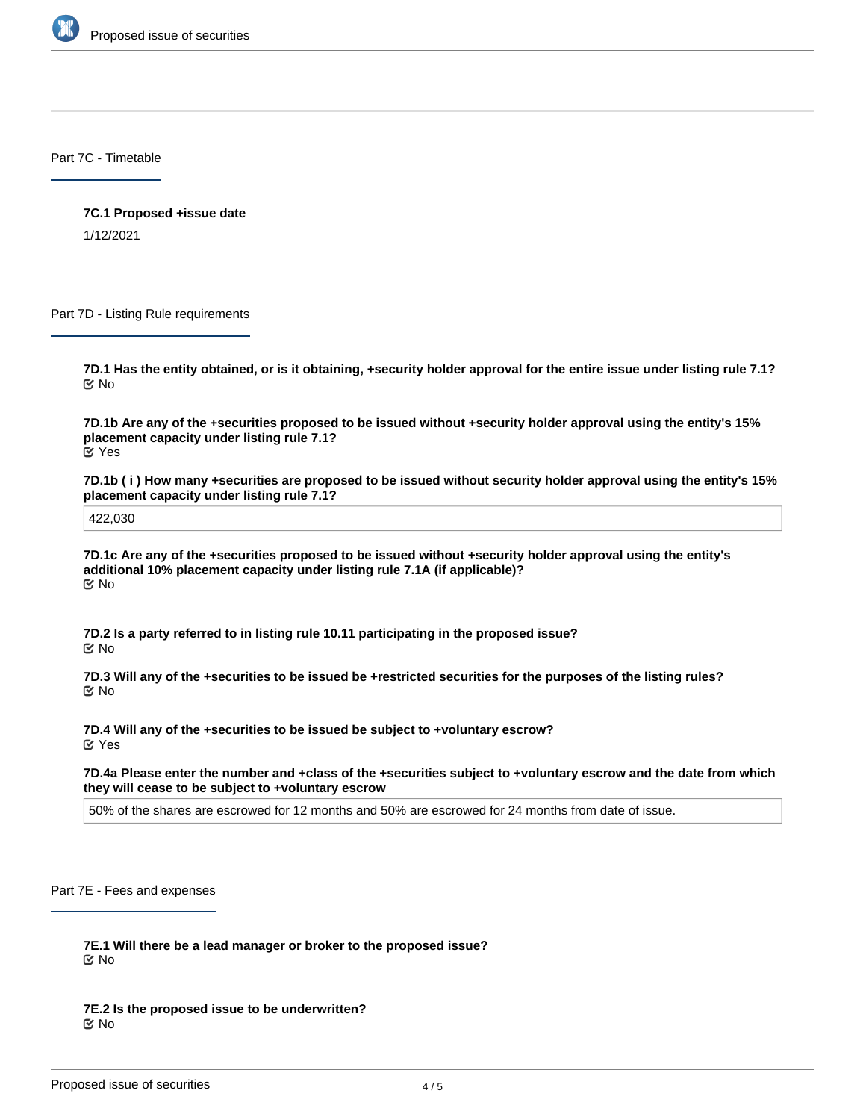

Part 7C - Timetable

**7C.1 Proposed +issue date** 1/12/2021

Part 7D - Listing Rule requirements

**7D.1 Has the entity obtained, or is it obtaining, +security holder approval for the entire issue under listing rule 7.1?** No

**7D.1b Are any of the +securities proposed to be issued without +security holder approval using the entity's 15% placement capacity under listing rule 7.1?** Yes

**7D.1b ( i ) How many +securities are proposed to be issued without security holder approval using the entity's 15% placement capacity under listing rule 7.1?**

422,030

**7D.1c Are any of the +securities proposed to be issued without +security holder approval using the entity's additional 10% placement capacity under listing rule 7.1A (if applicable)?** No

**7D.2 Is a party referred to in listing rule 10.11 participating in the proposed issue?** No

**7D.3 Will any of the +securities to be issued be +restricted securities for the purposes of the listing rules?** No

**7D.4 Will any of the +securities to be issued be subject to +voluntary escrow?** Yes

**7D.4a Please enter the number and +class of the +securities subject to +voluntary escrow and the date from which they will cease to be subject to +voluntary escrow**

50% of the shares are escrowed for 12 months and 50% are escrowed for 24 months from date of issue.

Part 7E - Fees and expenses

**7E.1 Will there be a lead manager or broker to the proposed issue?** No

**7E.2 Is the proposed issue to be underwritten?** No